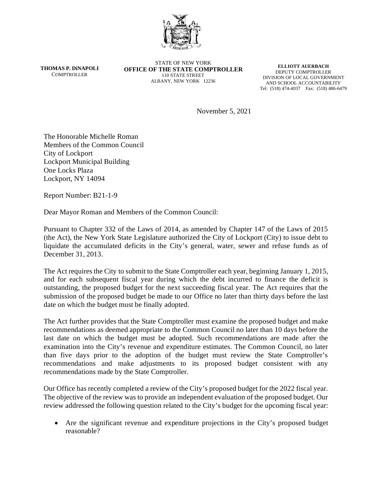

**THOMAS P. DiNAPOLI COMPTROLLER** 

STATE OF NEW YORK **OFFICE OF THE STATE COMPTROLLER** 110 STATE STREET ALBANY, NEW YORK 12236

**ELLIOTT AUERBACH** DEPUTY COMPTROLLER DIVISION OF LOCAL GOVERNMENT AND SCHOOL ACCOUNTABILITY Tel: (518) 474-4037 Fax: (518) 486-6479

November 5, 2021

The Honorable Michelle Roman Members of the Common Council City of Lockport Lockport Municipal Building One Locks Plaza Lockport, NY 14094

Report Number: B21-1-9

Dear Mayor Roman and Members of the Common Council:

Pursuant to Chapter 332 of the Laws of 2014, as amended by Chapter 147 of the Laws of 2015 (the Act), the New York State Legislature authorized the City of Lockport (City) to issue debt to liquidate the accumulated deficits in the City's general, water, sewer and refuse funds as of December 31, 2013.

The Act requires the City to submit to the State Comptroller each year, beginning January 1, 2015, and for each subsequent fiscal year during which the debt incurred to finance the deficit is outstanding, the proposed budget for the next succeeding fiscal year. The Act requires that the submission of the proposed budget be made to our Office no later than thirty days before the last date on which the budget must be finally adopted.

The Act further provides that the State Comptroller must examine the proposed budget and make recommendations as deemed appropriate to the Common Council no later than 10 days before the last date on which the budget must be adopted. Such recommendations are made after the examination into the City's revenue and expenditure estimates. The Common Council, no later than five days prior to the adoption of the budget must review the State Comptroller's recommendations and make adjustments to its proposed budget consistent with any recommendations made by the State Comptroller.

Our Office has recently completed a review of the City's proposed budget for the 2022 fiscal year. The objective of the review was to provide an independent evaluation of the proposed budget. Our review addressed the following question related to the City's budget for the upcoming fiscal year:

• Are the significant revenue and expenditure projections in the City's proposed budget reasonable?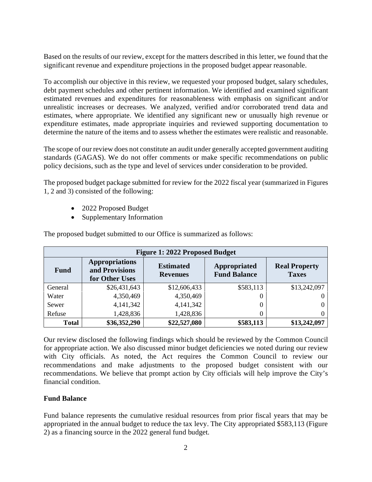Based on the results of our review, except for the matters described in this letter, we found that the significant revenue and expenditure projections in the proposed budget appear reasonable.

To accomplish our objective in this review, we requested your proposed budget, salary schedules, debt payment schedules and other pertinent information. We identified and examined significant estimated revenues and expenditures for reasonableness with emphasis on significant and/or unrealistic increases or decreases. We analyzed, verified and/or corroborated trend data and estimates, where appropriate. We identified any significant new or unusually high revenue or expenditure estimates, made appropriate inquiries and reviewed supporting documentation to determine the nature of the items and to assess whether the estimates were realistic and reasonable.

The scope of our review does not constitute an audit under generally accepted government auditing standards (GAGAS). We do not offer comments or make specific recommendations on public policy decisions, such as the type and level of services under consideration to be provided.

The proposed budget package submitted for review for the 2022 fiscal year (summarized in Figures 1, 2 and 3) consisted of the following:

- 2022 Proposed Budget
- Supplementary Information

| <b>Figure 1: 2022 Proposed Budget</b> |                                                           |                                     |                                     |                                      |
|---------------------------------------|-----------------------------------------------------------|-------------------------------------|-------------------------------------|--------------------------------------|
| <b>Fund</b>                           | <b>Appropriations</b><br>and Provisions<br>for Other Uses | <b>Estimated</b><br><b>Revenues</b> | Appropriated<br><b>Fund Balance</b> | <b>Real Property</b><br><b>Taxes</b> |
| General                               | \$26,431,643                                              | \$12,606,433                        | \$583,113                           | \$13,242,097                         |
| Water                                 | 4,350,469                                                 | 4,350,469                           | $\theta$                            |                                      |
| Sewer                                 | 4,141,342                                                 | 4,141,342                           |                                     |                                      |
| Refuse                                | 1,428,836                                                 | 1,428,836                           |                                     |                                      |
| <b>Total</b>                          | \$36,352,290                                              | \$22,527,080                        | \$583,113                           | \$13,242,097                         |

The proposed budget submitted to our Office is summarized as follows:

Our review disclosed the following findings which should be reviewed by the Common Council for appropriate action. We also discussed minor budget deficiencies we noted during our review with City officials. As noted, the Act requires the Common Council to review our recommendations and make adjustments to the proposed budget consistent with our recommendations. We believe that prompt action by City officials will help improve the City's financial condition.

# **Fund Balance**

Fund balance represents the cumulative residual resources from prior fiscal years that may be appropriated in the annual budget to reduce the tax levy. The City appropriated \$583,113 (Figure 2) as a financing source in the 2022 general fund budget.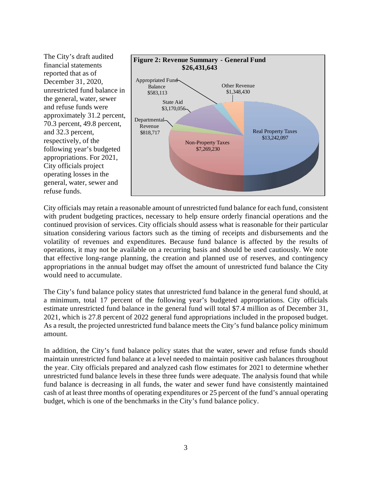

City officials may retain a reasonable amount of unrestricted fund balance for each fund, consistent with prudent budgeting practices, necessary to help ensure orderly financial operations and the continued provision of services. City officials should assess what is reasonable for their particular situation considering various factors such as the timing of receipts and disbursements and the volatility of revenues and expenditures. Because fund balance is affected by the results of operations, it may not be available on a recurring basis and should be used cautiously. We note that effective long-range planning, the creation and planned use of reserves, and contingency appropriations in the annual budget may offset the amount of unrestricted fund balance the City would need to accumulate.

The City's fund balance policy states that unrestricted fund balance in the general fund should, at a minimum, total 17 percent of the following year's budgeted appropriations. City officials estimate unrestricted fund balance in the general fund will total \$7.4 million as of December 31, 2021, which is 27.8 percent of 2022 general fund appropriations included in the proposed budget. As a result, the projected unrestricted fund balance meets the City's fund balance policy minimum amount.

In addition, the City's fund balance policy states that the water, sewer and refuse funds should maintain unrestricted fund balance at a level needed to maintain positive cash balances throughout the year. City officials prepared and analyzed cash flow estimates for 2021 to determine whether unrestricted fund balance levels in these three funds were adequate. The analysis found that while fund balance is decreasing in all funds, the water and sewer fund have consistently maintained cash of at least three months of operating expenditures or 25 percent of the fund's annual operating budget, which is one of the benchmarks in the City's fund balance policy.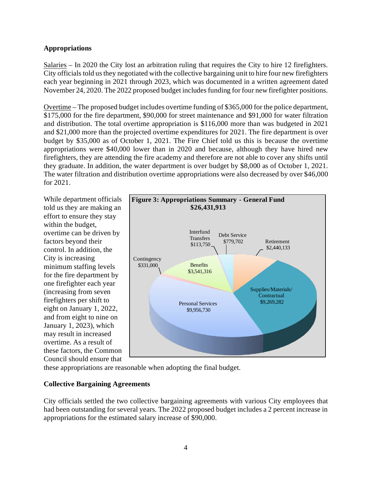### **Appropriations**

Salaries – In 2020 the City lost an arbitration ruling that requires the City to hire 12 firefighters. City officials told us they negotiated with the collective bargaining unit to hire four new firefighters each year beginning in 2021 through 2023, which was documented in a written agreement dated November 24, 2020. The 2022 proposed budget includes funding for four new firefighter positions.

Overtime – The proposed budget includes overtime funding of \$365,000 for the police department, \$175,000 for the fire department, \$90,000 for street maintenance and \$91,000 for water filtration and distribution. The total overtime appropriation is \$116,000 more than was budgeted in 2021 and \$21,000 more than the projected overtime expenditures for 2021. The fire department is over budget by \$35,000 as of October 1, 2021. The Fire Chief told us this is because the overtime appropriations were \$40,000 lower than in 2020 and because, although they have hired new firefighters, they are attending the fire academy and therefore are not able to cover any shifts until they graduate. In addition, the water department is over budget by \$8,000 as of October 1, 2021. The water filtration and distribution overtime appropriations were also decreased by over \$46,000 for 2021.

While department officials told us they are making an effort to ensure they stay within the budget, overtime can be driven by factors beyond their control. In addition, the City is increasing minimum staffing levels for the fire department by one firefighter each year (increasing from seven firefighters per shift to eight on January 1, 2022, and from eight to nine on January 1, 2023), which may result in increased overtime. As a result of these factors, the Common Council should ensure that



these appropriations are reasonable when adopting the final budget.

#### **Collective Bargaining Agreements**

City officials settled the two collective bargaining agreements with various City employees that had been outstanding for several years. The 2022 proposed budget includes a 2 percent increase in appropriations for the estimated salary increase of \$90,000.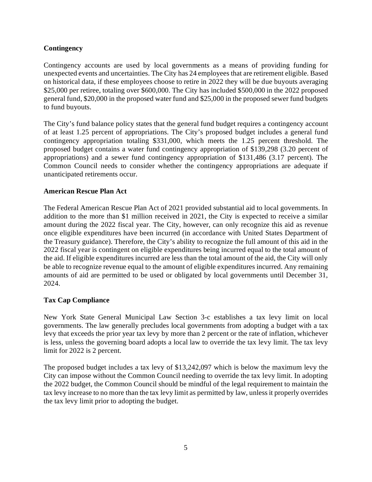## **Contingency**

Contingency accounts are used by local governments as a means of providing funding for unexpected events and uncertainties. The City has 24 employees that are retirement eligible. Based on historical data, if these employees choose to retire in 2022 they will be due buyouts averaging \$25,000 per retiree, totaling over \$600,000. The City has included \$500,000 in the 2022 proposed general fund, \$20,000 in the proposed water fund and \$25,000 in the proposed sewer fund budgets to fund buyouts.

The City's fund balance policy states that the general fund budget requires a contingency account of at least 1.25 percent of appropriations. The City's proposed budget includes a general fund contingency appropriation totaling \$331,000, which meets the 1.25 percent threshold. The proposed budget contains a water fund contingency appropriation of \$139,298 (3.20 percent of appropriations) and a sewer fund contingency appropriation of \$131,486 (3.17 percent). The Common Council needs to consider whether the contingency appropriations are adequate if unanticipated retirements occur.

### **American Rescue Plan Act**

The Federal American Rescue Plan Act of 2021 provided substantial aid to local governments. In addition to the more than \$1 million received in 2021, the City is expected to receive a similar amount during the 2022 fiscal year. The City, however, can only recognize this aid as revenue once eligible expenditures have been incurred (in accordance with United States Department of the Treasury guidance). Therefore, the City's ability to recognize the full amount of this aid in the 2022 fiscal year is contingent on eligible expenditures being incurred equal to the total amount of the aid. If eligible expenditures incurred are less than the total amount of the aid, the City will only be able to recognize revenue equal to the amount of eligible expenditures incurred. Any remaining amounts of aid are permitted to be used or obligated by local governments until December 31, 2024.

## **Tax Cap Compliance**

New York State General Municipal Law Section 3-c establishes a tax levy limit on local governments. The law generally precludes local governments from adopting a budget with a tax levy that exceeds the prior year tax levy by more than 2 percent or the rate of inflation, whichever is less, unless the governing board adopts a local law to override the tax levy limit. The tax levy limit for 2022 is 2 percent.

The proposed budget includes a tax levy of \$13,242,097 which is below the maximum levy the City can impose without the Common Council needing to override the tax levy limit. In adopting the 2022 budget, the Common Council should be mindful of the legal requirement to maintain the tax levy increase to no more than the tax levy limit as permitted by law, unless it properly overrides the tax levy limit prior to adopting the budget.